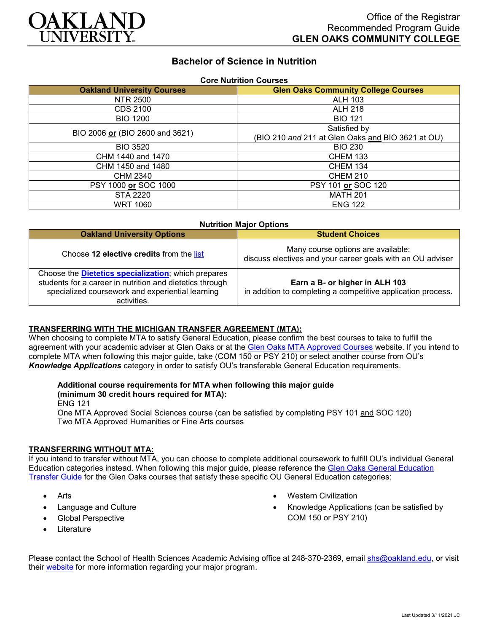

# **Bachelor of Science in Nutrition**

| <b>Core Nutrition Courses</b>     |                                                   |  |
|-----------------------------------|---------------------------------------------------|--|
| <b>Oakland University Courses</b> | <b>Glen Oaks Community College Courses</b>        |  |
| NTR 2500                          | <b>ALH 103</b>                                    |  |
| CDS 2100                          | <b>ALH 218</b>                                    |  |
| <b>BIO 1200</b>                   | <b>BIO 121</b>                                    |  |
| BIO 2006 or (BIO 2600 and 3621)   | Satisfied by                                      |  |
|                                   | (BIO 210 and 211 at Glen Oaks and BIO 3621 at OU) |  |
| <b>BIO 3520</b>                   | <b>BIO 230</b>                                    |  |
| CHM 1440 and 1470                 | <b>CHEM 133</b>                                   |  |
| CHM 1450 and 1480                 | <b>CHEM 134</b>                                   |  |
| CHM 2340                          | <b>CHEM 210</b>                                   |  |
| PSY 1000 or SOC 1000              | PSY 101 or SOC 120                                |  |
| STA 2220                          | <b>MATH 201</b>                                   |  |
| <b>WRT 1060</b>                   | <b>ENG 122</b>                                    |  |

| <b>Nutrition Major Options</b>                                                                                                                                                             |                                                                                                  |
|--------------------------------------------------------------------------------------------------------------------------------------------------------------------------------------------|--------------------------------------------------------------------------------------------------|
| <b>Oakland University Options</b>                                                                                                                                                          | <b>Student Choices</b>                                                                           |
| Choose 12 elective credits from the list                                                                                                                                                   | Many course options are available:<br>discuss electives and your career goals with an OU adviser |
| Choose the <b>Dietetics specialization</b> ; which prepares<br>students for a career in nutrition and dietetics through<br>specialized coursework and experiential learning<br>activities. | Earn a B- or higher in ALH 103<br>in addition to completing a competitive application process.   |

#### **TRANSFERRING WITH THE MICHIGAN TRANSFER AGREEMENT (MTA):**

When choosing to complete MTA to satisfy General Education, please confirm the best courses to take to fulfill the agreement with your academic adviser at Glen Oaks or at the [Glen Oaks MTA Approved Courses](https://www.glenoaks.edu/current-students/registration-records/#MTA) website. If you intend to complete MTA when following this major guide, take (COM 150 or PSY 210) or select another course from OU's *Knowledge Applications* category in order to satisfy OU's transferable General Education requirements.

## **Additional course requirements for MTA when following this major guide**

### **(minimum 30 credit hours required for MTA):**

ENG 121

One MTA Approved Social Sciences course (can be satisfied by completing PSY 101 and SOC 120) Two MTA Approved Humanities or Fine Arts courses

#### **TRANSFERRING WITHOUT MTA:**

If you intend to transfer without MTA, you can choose to complete additional coursework to fulfill OU's individual General Education categories instead. When following this major guide, please reference the [Glen Oaks General Education](https://www.oakland.edu/Assets/Oakland/program-guides/glen-oaks-community-college/university-general-education-requirements/Glen%20Oaks%20Gen%20Ed.pdf)  [Transfer Guide](https://www.oakland.edu/Assets/Oakland/program-guides/glen-oaks-community-college/university-general-education-requirements/Glen%20Oaks%20Gen%20Ed.pdf) for the Glen Oaks courses that satisfy these specific OU General Education categories:

- **Arts**
- Language and Culture
- Global Perspective
- **Literature**
- Western Civilization
- Knowledge Applications (can be satisfied by COM 150 or PSY 210)

Please contact the School of Health Sciences Academic Advising office at 248-370-2369, email [shs@oakland.edu,](mailto:shs@oakland.edu) or visit their [website](http://www.oakland.edu/shs/advising) for more information regarding your major program.